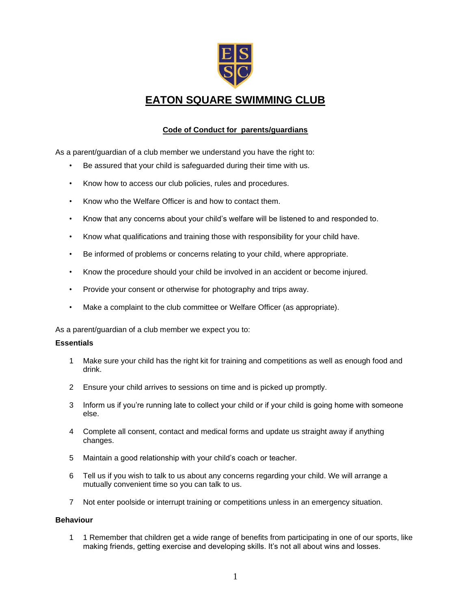

# **EATON SQUARE SWIMMING CLUB**

### **Code of Conduct for parents/guardians**

As a parent/guardian of a club member we understand you have the right to:

- Be assured that your child is safeguarded during their time with us.
- Know how to access our club policies, rules and procedures.
- Know who the Welfare Officer is and how to contact them.
- Know that any concerns about your child's welfare will be listened to and responded to.
- Know what qualifications and training those with responsibility for your child have.
- Be informed of problems or concerns relating to your child, where appropriate.
- Know the procedure should your child be involved in an accident or become injured.
- Provide your consent or otherwise for photography and trips away.
- Make a complaint to the club committee or Welfare Officer (as appropriate).

As a parent/guardian of a club member we expect you to:

#### **Essentials**

- 1 Make sure your child has the right kit for training and competitions as well as enough food and drink.
- 2 Ensure your child arrives to sessions on time and is picked up promptly.
- 3 Inform us if you're running late to collect your child or if your child is going home with someone else.
- 4 Complete all consent, contact and medical forms and update us straight away if anything changes.
- 5 Maintain a good relationship with your child's coach or teacher.
- 6 Tell us if you wish to talk to us about any concerns regarding your child. We will arrange a mutually convenient time so you can talk to us.
- 7 Not enter poolside or interrupt training or competitions unless in an emergency situation.

### **Behaviour**

1 1 Remember that children get a wide range of benefits from participating in one of our sports, like making friends, getting exercise and developing skills. It's not all about wins and losses.